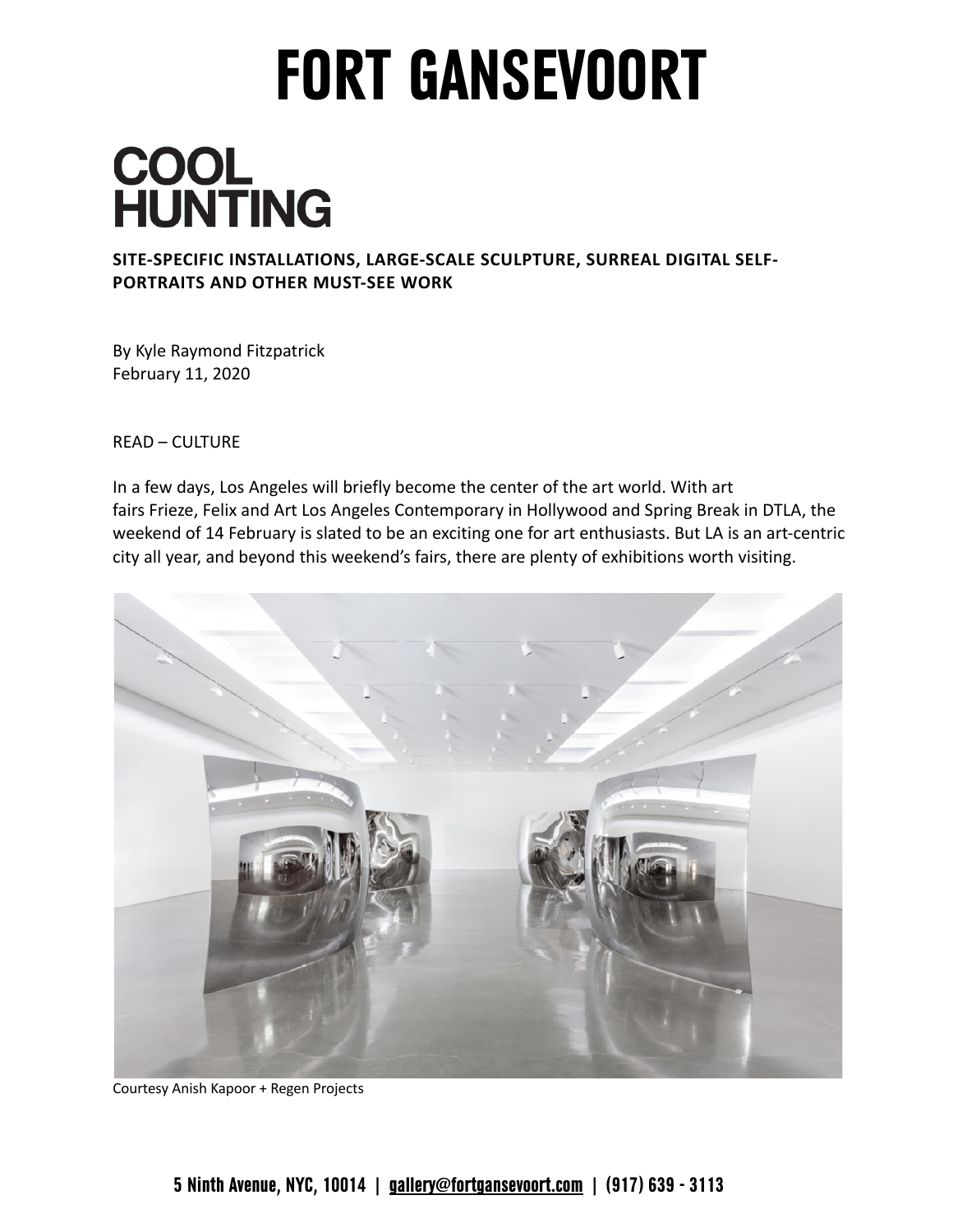## **FORT GANSEVOORT**

## **COOL<br>HUNTING**

**SITE-SPECIFIC INSTALLATIONS, LARGE-SCALE SCULPTURE, SURREAL DIGITAL SELF-PORTRAITS AND OTHER MUST-SEE WORK** 

 By Kyle Raymond Fitzpatrick February 11, 2020

READ – CULTURE

 In a few days, Los Angeles will briefly become the center of the art world. With art fairs Frieze, Felix and Art Los Angeles Contemporary in Hollywood and Spring Break in DTLA, the weekend of 14 February is slated to be an exciting one for art enthusiasts. But LA is an art-centric city all year, and beyond this weekend's fairs, there are plenty of exhibitions worth visiting.



Courtesy Anish Kapoor + Regen Projects